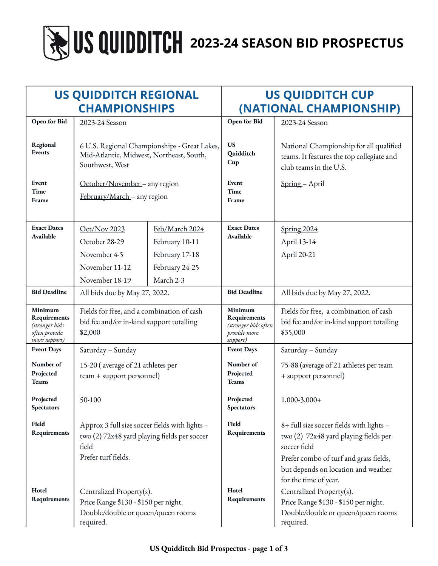# **2023-24 SEASON BID PROSPECTUS**

| <b>US QUIDDITCH REGIONAL</b><br><b>CHAMPIONSHIPS</b>                        |                                                                                                                                |                | <b>US QUIDDITCH CUP</b><br>(NATIONAL CHAMPIONSHIP)                          |                                                                                                                                                                                                             |
|-----------------------------------------------------------------------------|--------------------------------------------------------------------------------------------------------------------------------|----------------|-----------------------------------------------------------------------------|-------------------------------------------------------------------------------------------------------------------------------------------------------------------------------------------------------------|
| Open for Bid                                                                | 2023-24 Season                                                                                                                 |                | Open for Bid                                                                | 2023-24 Season                                                                                                                                                                                              |
| Regional<br>Events                                                          | 6 U.S. Regional Championships - Great Lakes,<br>Mid-Atlantic, Midwest, Northeast, South,<br>Southwest, West                    |                | <b>US</b><br>Quidditch<br>Cup                                               | National Championship for all qualified<br>teams. It features the top collegiate and<br>club teams in the U.S.                                                                                              |
| Event<br>Time<br>Frame                                                      | October/November - any region<br>February/March - any region                                                                   |                | Event<br>Time<br>Frame                                                      | Spring - April                                                                                                                                                                                              |
| <b>Exact Dates</b><br>Available                                             | Oct/Nov 2023                                                                                                                   | Feb/March 2024 | <b>Exact Dates</b><br>Available                                             | Spring 2024                                                                                                                                                                                                 |
|                                                                             | October 28-29                                                                                                                  | February 10-11 |                                                                             | April 13-14                                                                                                                                                                                                 |
|                                                                             | November 4-5                                                                                                                   | February 17-18 |                                                                             | April 20-21                                                                                                                                                                                                 |
|                                                                             | November 11-12                                                                                                                 | February 24-25 |                                                                             |                                                                                                                                                                                                             |
|                                                                             | November 18-19                                                                                                                 | March 2-3      |                                                                             |                                                                                                                                                                                                             |
| <b>Bid Deadline</b>                                                         | All bids due by May 27, 2022.                                                                                                  |                | <b>Bid Deadline</b>                                                         | All bids due by May 27, 2022.                                                                                                                                                                               |
| Minimum<br>Requirements<br>(stronger bids<br>often provide<br>more support) | Fields for free, and a combination of cash<br>bid fee and/or in-kind support totalling<br>\$2,000                              |                | Minimum<br>Requirements<br>(stronger bids often<br>provide more<br>support) | Fields for free, a combination of cash<br>bid fee and/or in-kind support totalling<br>\$35,000                                                                                                              |
| <b>Event Days</b>                                                           | Saturday - Sunday                                                                                                              |                | <b>Event Days</b>                                                           | Saturday - Sunday                                                                                                                                                                                           |
| Number of<br>Projected<br><b>Teams</b>                                      | 15-20 (average of 21 athletes per<br>team + support personnel)                                                                 |                | Number of<br>Projected<br><b>Teams</b>                                      | 75-88 (average of 21 athletes per team<br>+ support personnel)                                                                                                                                              |
| Projected<br>Spectators                                                     | 50-100                                                                                                                         |                | Projected<br><b>Spectators</b>                                              | $1,000-3,000+$                                                                                                                                                                                              |
| Field<br>Requirements                                                       | Approx 3 full size soccer fields with lights -<br>two (2) 72x48 yard playing fields per soccer<br>field<br>Prefer turf fields. |                | Field<br>Requirements                                                       | 8+ full size soccer fields with lights -<br>two (2) 72x48 yard playing fields per<br>soccer field<br>Prefer combo of turf and grass fields,<br>but depends on location and weather<br>for the time of year. |
| Hotel<br>Requirements                                                       | Centralized Property(s).<br>Price Range \$130 - \$150 per night.<br>Double/double or queen/queen rooms<br>required.            |                | Hotel<br>Requirements                                                       | Centralized Property(s).<br>Price Range \$130 - \$150 per night.<br>Double/double or queen/queen rooms<br>required.                                                                                         |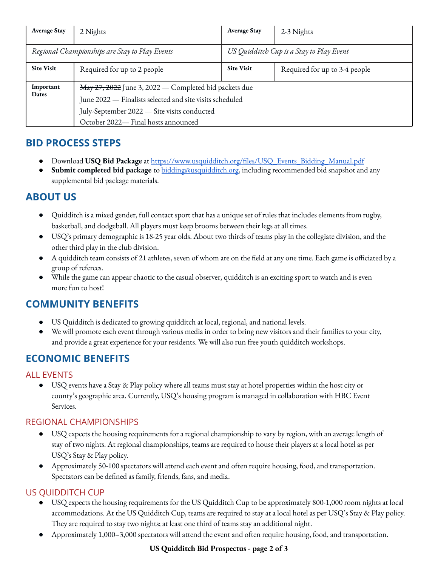| <b>Average Stay</b>                            | 2 Nights                                                                                                                                                                                                | <b>Average Stay</b>                      | 2-3 Nights                    |  |  |
|------------------------------------------------|---------------------------------------------------------------------------------------------------------------------------------------------------------------------------------------------------------|------------------------------------------|-------------------------------|--|--|
| Regional Championships are Stay to Play Events |                                                                                                                                                                                                         | US Quidditch Cup is a Stay to Play Event |                               |  |  |
| <b>Site Visit</b>                              | Required for up to 2 people                                                                                                                                                                             | <b>Site Visit</b>                        | Required for up to 3-4 people |  |  |
| Important<br>Dates                             | May 27, 2022 June 3, 2022 — Completed bid packets due<br>June 2022 - Finalists selected and site visits scheduled<br>July-September 2022 - Site visits conducted<br>October 2022- Final hosts announced |                                          |                               |  |  |

# **BID PROCESS STEPS**

- Download **USQ Bid Package** at [https://www.usquidditch.org/files/USQ\\_Events\\_Bidding\\_Manual.pdf](https://www.usquidditch.org/files/USQ_Events_Bidding_Manual.pdf)
- **Submit completed bid package** to [bidding@usquidditch.org,](mailto:bidding@usquidditch.org) including recommended bid snapshot and any supplemental bid package materials.

# **ABOUT US**

- Quidditch is a mixed gender, full contact sport that has a unique set of rules that includes elements from rugby, basketball, and dodgeball. All players must keep brooms between their legs at all times.
- USQ's primary demographic is 18-25 year olds. About two thirds of teams play in the collegiate division, and the other third play in the club division.
- A quidditch team consists of 21 athletes, seven of whom are on the field at any one time. Each game is officiated by a group of referees.
- While the game can appear chaotic to the casual observer, quidditch is an exciting sport to watch and is even more fun to host!

# **COMMUNITY BENEFITS**

- US Quidditch is dedicated to growing quidditch at local, regional, and national levels.
- We will promote each event through various media in order to bring new visitors and their families to your city, and provide a great experience for your residents. We will also run free youth quidditch workshops.

# **ECONOMIC BENEFITS**

## ALL EVENTS

USQ events have a Stay & Play policy where all teams must stay at hotel properties within the host city or county's geographic area. Currently, USQ's housing program is managed in collaboration with HBC Event Services.

## REGIONAL CHAMPIONSHIPS

- USQ expects the housing requirements for a regional championship to vary by region, with an average length of stay of two nights. At regional championships, teams are required to house their players at a local hotel as per USQ's Stay & Play policy.
- Approximately 50-100 spectators will attend each event and often require housing, food, and transportation. Spectators can be defined as family, friends, fans, and media.

## US QUIDDITCH CUP

- USQ expects the housing requirements for the US Quidditch Cup to be approximately 800-1,000 room nights at local accommodations. At the US Quidditch Cup, teams are required to stay at a local hotel as per USQ's Stay & Play policy. They are required to stay two nights; at least one third of teams stay an additional night.
- Approximately 1,000–3,000 spectators will attend the event and often require housing, food, and transportation.

#### **US Quidditch Bid Prospectus - page 2 of 3**